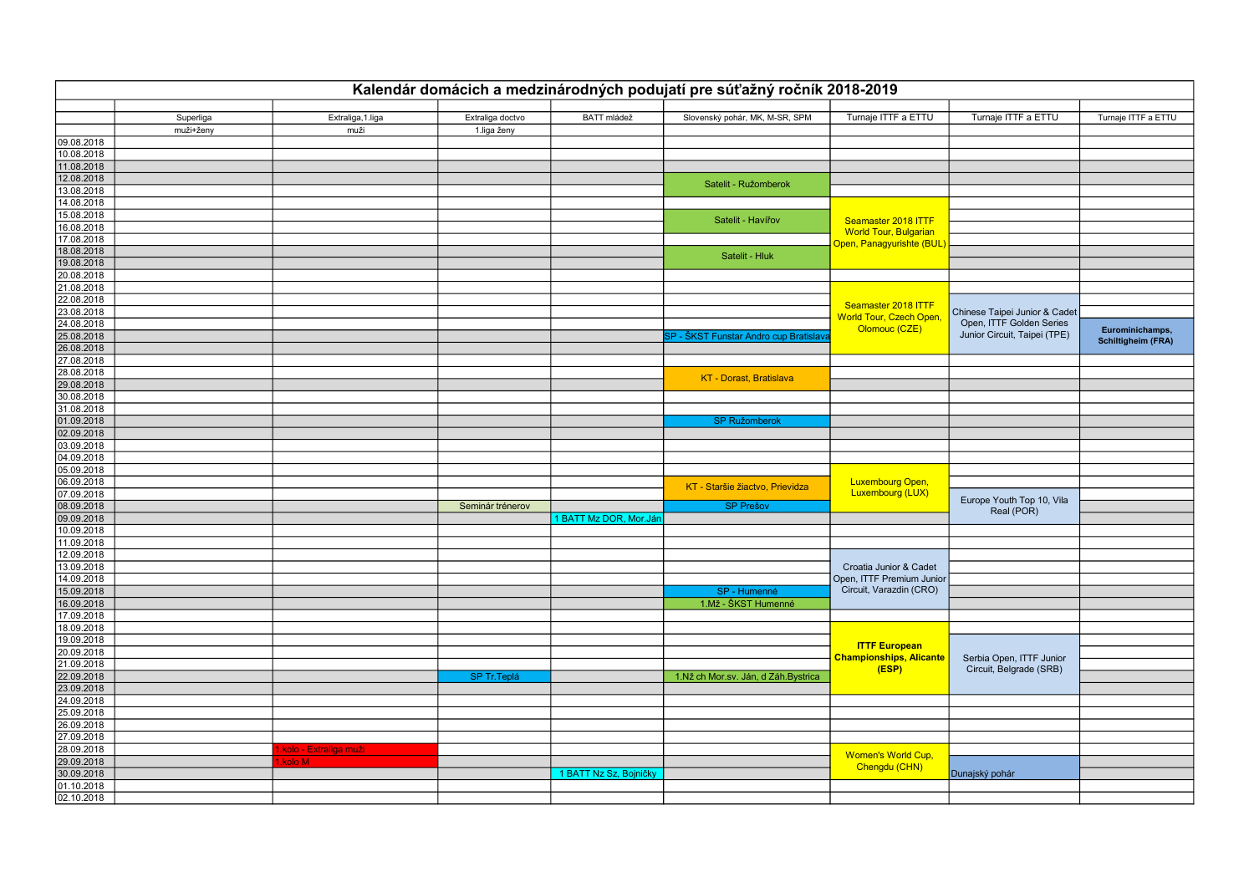|                          | Kalendár domácich a medzinárodných podujatí pre súťažný ročník 2018-2019 |                        |                  |                        |                                        |                                                       |                               |                           |  |  |
|--------------------------|--------------------------------------------------------------------------|------------------------|------------------|------------------------|----------------------------------------|-------------------------------------------------------|-------------------------------|---------------------------|--|--|
|                          | Superliga                                                                | Extraliga, 1.liga      | Extraliga doctvo | BATT mládež            | Slovenský pohár, MK, M-SR, SPM         | Turnaje ITTF a ETTU                                   | Turnaje ITTF a ETTU           | Turnaje ITTF a ETTU       |  |  |
|                          | muži+ženy                                                                | muži                   | 1.liga ženy      |                        |                                        |                                                       |                               |                           |  |  |
| 09.08.2018               |                                                                          |                        |                  |                        |                                        |                                                       |                               |                           |  |  |
| 10.08.2018               |                                                                          |                        |                  |                        |                                        |                                                       |                               |                           |  |  |
| 11.08.2018               |                                                                          |                        |                  |                        |                                        |                                                       |                               |                           |  |  |
| 12.08.2018               |                                                                          |                        |                  |                        |                                        |                                                       |                               |                           |  |  |
| 13.08.2018               |                                                                          |                        |                  |                        | Satelit - Ružomberok                   |                                                       |                               |                           |  |  |
| 14.08.2018               |                                                                          |                        |                  |                        |                                        |                                                       |                               |                           |  |  |
| 15.08.2018               |                                                                          |                        |                  |                        |                                        |                                                       |                               |                           |  |  |
| 16.08.2018               |                                                                          |                        |                  |                        | Satelit - Havířov                      | Seamaster 2018 ITTF                                   |                               |                           |  |  |
| 17.08.2018               |                                                                          |                        |                  |                        |                                        | World Tour, Bulgarian                                 |                               |                           |  |  |
| 18.08.2018               |                                                                          |                        |                  |                        |                                        | <mark>Open, Panagyurishte (BUL)</mark>                |                               |                           |  |  |
| 19.08.2018               |                                                                          |                        |                  |                        | Satelit - Hluk                         |                                                       |                               |                           |  |  |
| 20.08.2018               |                                                                          |                        |                  |                        |                                        |                                                       |                               |                           |  |  |
| 21.08.2018               |                                                                          |                        |                  |                        |                                        |                                                       |                               |                           |  |  |
| 22.08.2018               |                                                                          |                        |                  |                        |                                        |                                                       |                               |                           |  |  |
| 23.08.2018               |                                                                          |                        |                  |                        |                                        | Seamaster 2018 ITTF<br><b>World Tour, Czech Open,</b> | Chinese Taipei Junior & Cadet |                           |  |  |
| 24.08.2018               |                                                                          |                        |                  |                        |                                        |                                                       | Open, ITTF Golden Series      |                           |  |  |
| 25.08.2018               |                                                                          |                        |                  |                        | SP - ŠKST Funstar Andro cup Bratislava | Olomouc (CZE)                                         | Junior Circuit, Taipei (TPE)  | Eurominichamps,           |  |  |
| 26.08.2018               |                                                                          |                        |                  |                        |                                        |                                                       |                               | <b>Schiltigheim (FRA)</b> |  |  |
| 27.08.2018               |                                                                          |                        |                  |                        |                                        |                                                       |                               |                           |  |  |
| 28.08.2018               |                                                                          |                        |                  |                        |                                        |                                                       |                               |                           |  |  |
| 29.08.2018               |                                                                          |                        |                  |                        | <b>KT</b> - Dorast, Bratislava         |                                                       |                               |                           |  |  |
| 30.08.2018               |                                                                          |                        |                  |                        |                                        |                                                       |                               |                           |  |  |
| 31.08.2018               |                                                                          |                        |                  |                        |                                        |                                                       |                               |                           |  |  |
| 01.09.2018               |                                                                          |                        |                  |                        | <b>SP Ružomberok</b>                   |                                                       |                               |                           |  |  |
| 02.09.2018               |                                                                          |                        |                  |                        |                                        |                                                       |                               |                           |  |  |
| 03.09.2018               |                                                                          |                        |                  |                        |                                        |                                                       |                               |                           |  |  |
| 04.09.2018               |                                                                          |                        |                  |                        |                                        |                                                       |                               |                           |  |  |
|                          |                                                                          |                        |                  |                        |                                        |                                                       |                               |                           |  |  |
| 05.09.2018<br>06.09.2018 |                                                                          |                        |                  |                        |                                        | Luxembourg Open,                                      |                               |                           |  |  |
| 07.09.2018               |                                                                          |                        |                  |                        | KT - Staršie žiactvo, Prievidza        | <b>Luxembourg (LUX)</b>                               |                               |                           |  |  |
| 08.09.2018               |                                                                          |                        |                  |                        |                                        |                                                       | Europe Youth Top 10, Vila     |                           |  |  |
|                          |                                                                          |                        | Seminár trénerov |                        | <b>SP Prešov</b>                       |                                                       | Real (POR)                    |                           |  |  |
| 09.09.2018<br>10.09.2018 |                                                                          |                        |                  | 1 BATT Mz DOR, Mor.Ján |                                        |                                                       |                               |                           |  |  |
|                          |                                                                          |                        |                  |                        |                                        |                                                       |                               |                           |  |  |
| 11.09.2018               |                                                                          |                        |                  |                        |                                        |                                                       |                               |                           |  |  |
| 12.09.2018               |                                                                          |                        |                  |                        |                                        |                                                       |                               |                           |  |  |
| 13.09.2018               |                                                                          |                        |                  |                        |                                        | Croatia Junior & Cadet<br>Open, ITTF Premium Junior   |                               |                           |  |  |
| 14.09.2018               |                                                                          |                        |                  |                        |                                        |                                                       |                               |                           |  |  |
| 15.09.2018               |                                                                          |                        |                  |                        | SP - Humenné                           | Circuit, Varazdin (CRO)                               |                               |                           |  |  |
| 16.09.2018               |                                                                          |                        |                  |                        | 1.Mž - ŠKST Humenné                    |                                                       |                               |                           |  |  |
| 17.09.2018               |                                                                          |                        |                  |                        |                                        |                                                       |                               |                           |  |  |
| 18.09.2018               |                                                                          |                        |                  |                        |                                        |                                                       |                               |                           |  |  |
| 19.09.2018               |                                                                          |                        |                  |                        |                                        | <b>ITTF European</b>                                  |                               |                           |  |  |
| 20.09.2018               |                                                                          |                        |                  |                        |                                        | <b>Championships, Alicante</b>                        | Serbia Open, ITTF Junior      |                           |  |  |
| 21.09.2018               |                                                                          |                        |                  |                        |                                        | (ESP)                                                 | Circuit, Belgrade (SRB)       |                           |  |  |
| 22.09.2018               |                                                                          |                        | SP Tr. Teplá     |                        | 1.Nž ch Mor.sv. Ján, d Záh.Bystrica    |                                                       |                               |                           |  |  |
| 23.09.2018               |                                                                          |                        |                  |                        |                                        |                                                       |                               |                           |  |  |
| 24.09.2018               |                                                                          |                        |                  |                        |                                        |                                                       |                               |                           |  |  |
| 25.09.2018               |                                                                          |                        |                  |                        |                                        |                                                       |                               |                           |  |  |
| 26.09.2018               |                                                                          |                        |                  |                        |                                        |                                                       |                               |                           |  |  |
| 27.09.2018               |                                                                          |                        |                  |                        |                                        |                                                       |                               |                           |  |  |
| 28.09.2018               |                                                                          | .kolo - Extraliga muži |                  |                        |                                        | Women's World Cup,                                    |                               |                           |  |  |
| 29.09.2018               |                                                                          | kolo M                 |                  |                        |                                        | Chengdu (CHN)                                         |                               |                           |  |  |
| 30.09.2018               |                                                                          |                        |                  | 1 BATT Nz Sz, Bojničky |                                        |                                                       | Dunajský pohár                |                           |  |  |
| 01.10.2018               |                                                                          |                        |                  |                        |                                        |                                                       |                               |                           |  |  |
| 02.10.2018               |                                                                          |                        |                  |                        |                                        |                                                       |                               |                           |  |  |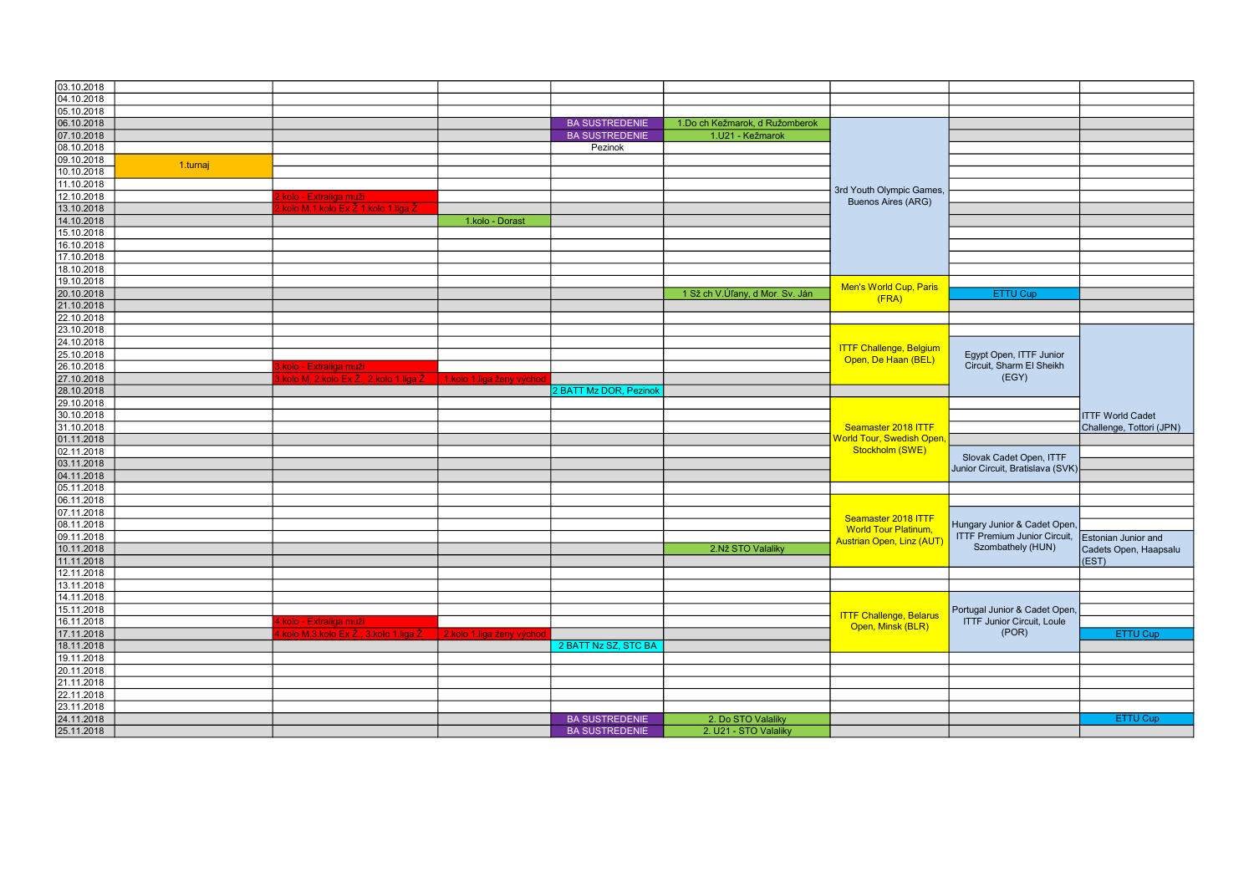| 03.10.2018               |          |                                                                                                    |                           |                        |                                 |                                       |                                     |                          |
|--------------------------|----------|----------------------------------------------------------------------------------------------------|---------------------------|------------------------|---------------------------------|---------------------------------------|-------------------------------------|--------------------------|
| 04.10.2018               |          |                                                                                                    |                           |                        |                                 |                                       |                                     |                          |
| 05.10.2018               |          |                                                                                                    |                           |                        |                                 |                                       |                                     |                          |
| 06.10.2018               |          |                                                                                                    |                           | <b>BA SUSTREDENIE</b>  | 1.Do ch Kežmarok, d Ružomberok  |                                       |                                     |                          |
| 07.10.2018               |          |                                                                                                    |                           | <b>BA SUSTREDENIE</b>  | 1.U21 - Kežmarok                |                                       |                                     |                          |
| 08.10.2018               |          |                                                                                                    |                           | Pezinok                |                                 |                                       |                                     |                          |
|                          |          |                                                                                                    |                           |                        |                                 |                                       |                                     |                          |
| 09.10.2018<br>10.10.2018 | 1.turnaj |                                                                                                    |                           |                        |                                 |                                       |                                     |                          |
| 11.10.2018               |          |                                                                                                    |                           |                        |                                 |                                       |                                     |                          |
|                          |          |                                                                                                    |                           |                        |                                 | 3rd Youth Olympic Games,              |                                     |                          |
| 12.10.2018               |          | kolo - Extraliga muži                                                                              |                           |                        |                                 | <b>Buenos Aires (ARG)</b>             |                                     |                          |
| 13.10.2018               |          | kolo M,1.kolo Ex Ž 1.kolo 1.liga Ž                                                                 |                           |                        |                                 |                                       |                                     |                          |
| 14.10.2018               |          |                                                                                                    | 1.kolo - Dorast           |                        |                                 |                                       |                                     |                          |
| 15.10.2018               |          |                                                                                                    |                           |                        |                                 |                                       |                                     |                          |
| 16.10.2018               |          |                                                                                                    |                           |                        |                                 |                                       |                                     |                          |
| 17.10.2018               |          |                                                                                                    |                           |                        |                                 |                                       |                                     |                          |
| 18.10.2018               |          |                                                                                                    |                           |                        |                                 |                                       |                                     |                          |
| 19.10.2018               |          |                                                                                                    |                           |                        |                                 | Men's World Cup, Paris                |                                     |                          |
| 20.10.2018               |          |                                                                                                    |                           |                        | 1 Sž ch V.Úľany, d Mor. Sv. Ján | (FRA)                                 | ETTU Cup                            |                          |
| 21.10.2018               |          |                                                                                                    |                           |                        |                                 |                                       |                                     |                          |
| 22.10.2018               |          |                                                                                                    |                           |                        |                                 |                                       |                                     |                          |
| 23.10.2018               |          |                                                                                                    |                           |                        |                                 |                                       |                                     |                          |
| 24.10.2018               |          |                                                                                                    |                           |                        |                                 | <b>ITTF Challenge, Belgium</b>        | Egypt Open, ITTF Junior             |                          |
| 25.10.2018               |          |                                                                                                    |                           |                        |                                 | Open, De Haan (BEL)                   |                                     |                          |
| 26.10.2018               |          | s kolo - Extraliga muži<br>s kolo M, 2 kolo Ex Ž,, 2 kolo 1 liga Ž       1 kolo 1 liga ženy východ |                           |                        |                                 |                                       | Circuit, Sharm El Sheikh            |                          |
| 27.10.2018               |          |                                                                                                    |                           |                        |                                 |                                       | (EGY)                               |                          |
| 28.10.2018               |          |                                                                                                    |                           | 2 BATT Mz DOR, Pezinok |                                 |                                       |                                     |                          |
| 29.10.2018               |          |                                                                                                    |                           |                        |                                 |                                       |                                     |                          |
| 30.10.2018               |          |                                                                                                    |                           |                        |                                 |                                       |                                     | <b>ITTF World Cadet</b>  |
| 31.10.2018               |          |                                                                                                    |                           |                        |                                 | Seamaster 2018 ITTF                   |                                     | Challenge, Tottori (JPN) |
| 01.11.2018               |          |                                                                                                    |                           |                        |                                 | World Tour, Swedish Open,             |                                     |                          |
| 02.11.2018               |          |                                                                                                    |                           |                        |                                 | Stockholm (SWE)                       |                                     |                          |
| 03.11.2018               |          |                                                                                                    |                           |                        |                                 |                                       | Slovak Cadet Open, ITTF             |                          |
| 04.11.2018               |          |                                                                                                    |                           |                        |                                 |                                       | Junior Circuit, Bratislava (SVK)    |                          |
| 05.11.2018               |          |                                                                                                    |                           |                        |                                 |                                       |                                     |                          |
| 06.11.2018               |          |                                                                                                    |                           |                        |                                 |                                       |                                     |                          |
| 07.11.2018               |          |                                                                                                    |                           |                        |                                 |                                       |                                     |                          |
| 08.11.2018               |          |                                                                                                    |                           |                        |                                 | Seamaster 2018 ITTF                   | Hungary Junior & Cadet Open,        |                          |
| 09.11.2018               |          |                                                                                                    |                           |                        |                                 | <b>World Tour Platinum,</b>           | <b>ITTF Premium Junior Circuit,</b> | Estonian Junior and      |
| 10.11.2018               |          |                                                                                                    |                           |                        | 2.Nž STO Valaliky               | <mark>Austrian Open, Linz (AUT</mark> | Szombathely (HUN)                   | Cadets Open, Haapsalu    |
| 11.11.2018               |          |                                                                                                    |                           |                        |                                 |                                       |                                     | (EST)                    |
| 12.11.2018               |          |                                                                                                    |                           |                        |                                 |                                       |                                     |                          |
| 13.11.2018               |          |                                                                                                    |                           |                        |                                 |                                       |                                     |                          |
|                          |          |                                                                                                    |                           |                        |                                 |                                       |                                     |                          |
| 14.11.2018               |          |                                                                                                    |                           |                        |                                 |                                       |                                     |                          |
| 15.11.2018               |          |                                                                                                    |                           |                        |                                 | <b>ITTF Challenge, Belarus</b>        | Portugal Junior & Cadet Open,       |                          |
| 16.11.2018               |          | .kolo - Extraliga muži                                                                             |                           |                        |                                 | Open, Minsk (BLR)                     | <b>ITTF Junior Circuit, Loule</b>   |                          |
| 17.11.2018               |          | kolo M,3.kolo Ex Ž., 3.kolo 1.liga Ž                                                               | 2.kolo 1.liga ženy východ |                        |                                 |                                       | (POR)                               | <b>ETTU Cup</b>          |
| 18.11.2018               |          |                                                                                                    |                           | 2 BATT Nz SZ, STC BA   |                                 |                                       |                                     |                          |
| 19.11.2018               |          |                                                                                                    |                           |                        |                                 |                                       |                                     |                          |
| 20.11.2018               |          |                                                                                                    |                           |                        |                                 |                                       |                                     |                          |
| 21.11.2018               |          |                                                                                                    |                           |                        |                                 |                                       |                                     |                          |
| 22.11.2018               |          |                                                                                                    |                           |                        |                                 |                                       |                                     |                          |
| 23.11.2018               |          |                                                                                                    |                           |                        |                                 |                                       |                                     |                          |
| 24.11.2018               |          |                                                                                                    |                           | <b>BA SUSTREDENIE</b>  | 2. Do STO Valaliky              |                                       |                                     | <b>ETTU Cup</b>          |
| 25.11.2018               |          |                                                                                                    |                           | <b>BA SUSTREDENIE</b>  | 2. U21 - STO Valaliky           |                                       |                                     |                          |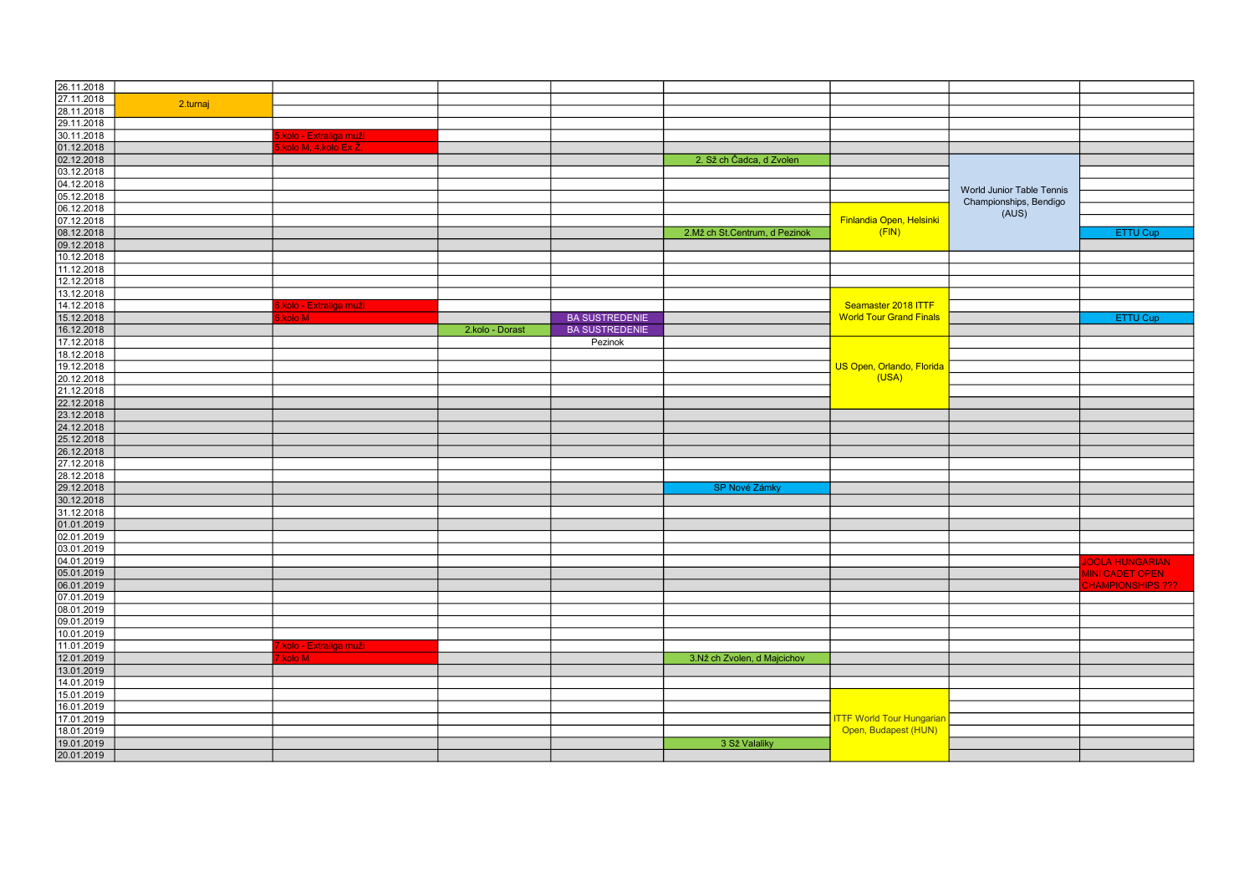| 26.11.2018 |          |                                      |                 |                       |                               |                                  |                           |                          |
|------------|----------|--------------------------------------|-----------------|-----------------------|-------------------------------|----------------------------------|---------------------------|--------------------------|
| 27.11.2018 |          |                                      |                 |                       |                               |                                  |                           |                          |
|            | 2.turnaj |                                      |                 |                       |                               |                                  |                           |                          |
| 28.11.2018 |          |                                      |                 |                       |                               |                                  |                           |                          |
| 29.11.2018 |          |                                      |                 |                       |                               |                                  |                           |                          |
| 30.11.2018 |          | <mark>5.kolo - Extraliga muži</mark> |                 |                       |                               |                                  |                           |                          |
| 01.12.2018 |          | kolo M, 4.kolo Ex Ž                  |                 |                       |                               |                                  |                           |                          |
| 02.12.2018 |          |                                      |                 |                       | 2. Sž ch Čadca, d Zvolen      |                                  |                           |                          |
| 03.12.2018 |          |                                      |                 |                       |                               |                                  |                           |                          |
| 04.12.2018 |          |                                      |                 |                       |                               |                                  |                           |                          |
| 05.12.2018 |          |                                      |                 |                       |                               |                                  | World Junior Table Tennis |                          |
| 06.12.2018 |          |                                      |                 |                       |                               |                                  | Championships, Bendigo    |                          |
| 07.12.2018 |          |                                      |                 |                       |                               | Finlandia Open, Helsinki         | (AUS)                     |                          |
| 08.12.2018 |          |                                      |                 |                       | 2.Mž ch St.Centrum, d Pezinok | (FIN)                            |                           | ETTU Cup                 |
| 09.12.2018 |          |                                      |                 |                       |                               |                                  |                           |                          |
|            |          |                                      |                 |                       |                               |                                  |                           |                          |
| 10.12.2018 |          |                                      |                 |                       |                               |                                  |                           |                          |
| 11.12.2018 |          |                                      |                 |                       |                               |                                  |                           |                          |
| 12.12.2018 |          |                                      |                 |                       |                               |                                  |                           |                          |
| 13.12.2018 |          |                                      |                 |                       |                               |                                  |                           |                          |
| 14.12.2018 |          | kolo - Extraliga muži                |                 |                       |                               | Seamaster 2018 ITTF              |                           |                          |
| 15.12.2018 |          | kolo M                               |                 | <b>BA SUSTREDENIE</b> |                               | <b>World Tour Grand Finals</b>   |                           | <b>ETTU Cup</b>          |
| 16.12.2018 |          |                                      | 2.kolo - Dorast | <b>BA SUSTREDENIE</b> |                               |                                  |                           |                          |
| 17.12.2018 |          |                                      |                 | Pezinok               |                               |                                  |                           |                          |
| 18.12.2018 |          |                                      |                 |                       |                               |                                  |                           |                          |
| 19.12.2018 |          |                                      |                 |                       |                               | US Open, Orlando, Florida        |                           |                          |
| 20.12.2018 |          |                                      |                 |                       |                               | (USA)                            |                           |                          |
| 21.12.2018 |          |                                      |                 |                       |                               |                                  |                           |                          |
| 22.12.2018 |          |                                      |                 |                       |                               |                                  |                           |                          |
| 23.12.2018 |          |                                      |                 |                       |                               |                                  |                           |                          |
| 24.12.2018 |          |                                      |                 |                       |                               |                                  |                           |                          |
| 25.12.2018 |          |                                      |                 |                       |                               |                                  |                           |                          |
| 26.12.2018 |          |                                      |                 |                       |                               |                                  |                           |                          |
| 27.12.2018 |          |                                      |                 |                       |                               |                                  |                           |                          |
|            |          |                                      |                 |                       |                               |                                  |                           |                          |
| 28.12.2018 |          |                                      |                 |                       |                               |                                  |                           |                          |
| 29.12.2018 |          |                                      |                 |                       | SP Nové Zámky                 |                                  |                           |                          |
| 30.12.2018 |          |                                      |                 |                       |                               |                                  |                           |                          |
| 31.12.2018 |          |                                      |                 |                       |                               |                                  |                           |                          |
| 01.01.2019 |          |                                      |                 |                       |                               |                                  |                           |                          |
| 02.01.2019 |          |                                      |                 |                       |                               |                                  |                           |                          |
| 03.01.2019 |          |                                      |                 |                       |                               |                                  |                           |                          |
| 04.01.2019 |          |                                      |                 |                       |                               |                                  |                           | <b>JOOLA HUNGARIAN</b>   |
| 05.01.2019 |          |                                      |                 |                       |                               |                                  |                           | <b>MINI CADET OPEN</b>   |
| 06.01.2019 |          |                                      |                 |                       |                               |                                  |                           | <b>CHAMPIONSHIPS ???</b> |
| 07.01.2019 |          |                                      |                 |                       |                               |                                  |                           |                          |
| 08.01.2019 |          |                                      |                 |                       |                               |                                  |                           |                          |
| 09.01.2019 |          |                                      |                 |                       |                               |                                  |                           |                          |
| 10.01.2019 |          |                                      |                 |                       |                               |                                  |                           |                          |
| 11.01.2019 |          | .kolo - Extraliga muži               |                 |                       |                               |                                  |                           |                          |
|            |          | kolo M                               |                 |                       |                               |                                  |                           |                          |
| 12.01.2019 |          |                                      |                 |                       | 3.Nž ch Zvolen, d Majcichov   |                                  |                           |                          |
| 13.01.2019 |          |                                      |                 |                       |                               |                                  |                           |                          |
| 14.01.2019 |          |                                      |                 |                       |                               |                                  |                           |                          |
| 15.01.2019 |          |                                      |                 |                       |                               |                                  |                           |                          |
| 16.01.2019 |          |                                      |                 |                       |                               |                                  |                           |                          |
| 17.01.2019 |          |                                      |                 |                       |                               | <b>ITTF World Tour Hungariar</b> |                           |                          |
| 18.01.2019 |          |                                      |                 |                       |                               | Open, Budapest (HUN)             |                           |                          |
| 19.01.2019 |          |                                      |                 |                       | 3 Sž Valaliky                 |                                  |                           |                          |
| 20.01.2019 |          |                                      |                 |                       |                               |                                  |                           |                          |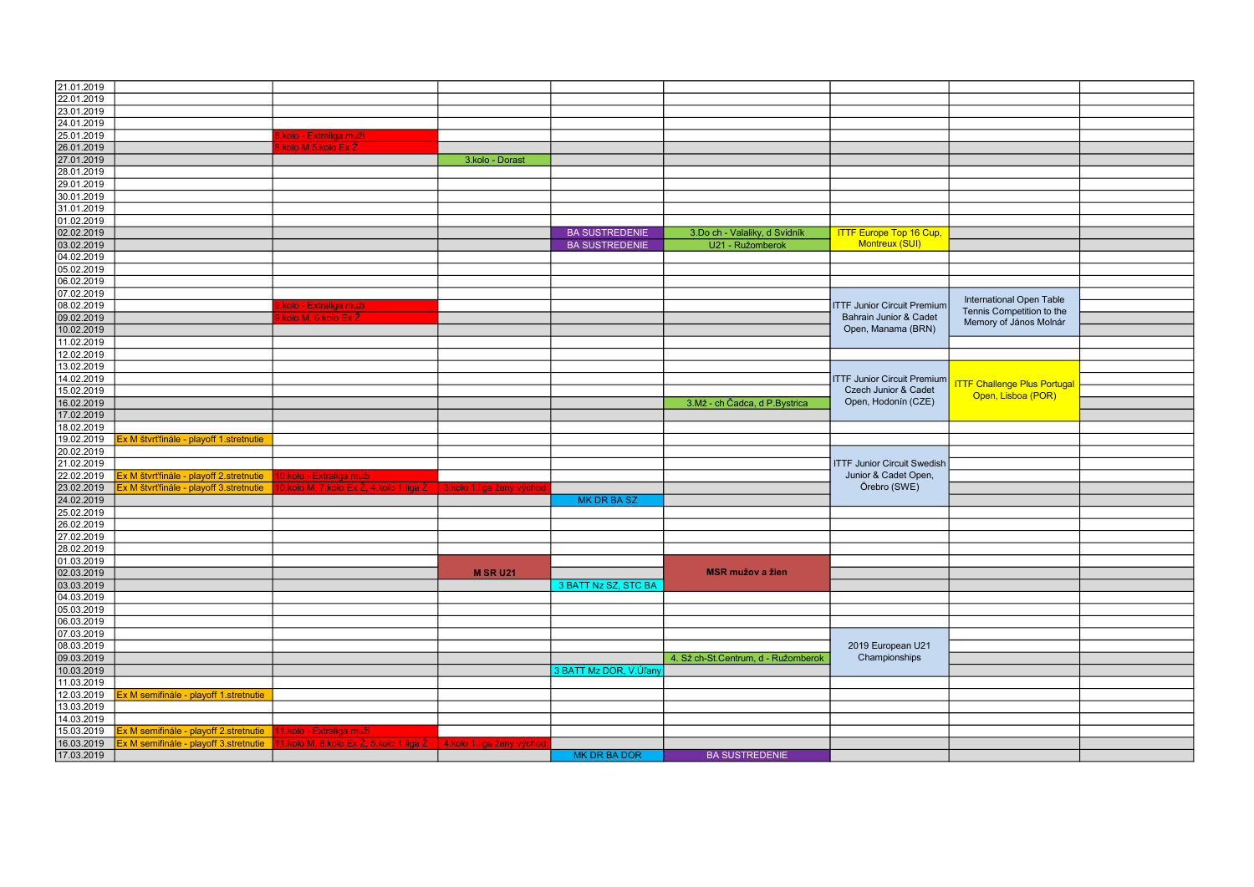| 21.01.2019               |                                        |                                        |                             |                        |                                     |                                             |                                     |  |
|--------------------------|----------------------------------------|----------------------------------------|-----------------------------|------------------------|-------------------------------------|---------------------------------------------|-------------------------------------|--|
| 22.01.2019               |                                        |                                        |                             |                        |                                     |                                             |                                     |  |
| 23.01.2019               |                                        |                                        |                             |                        |                                     |                                             |                                     |  |
| 24.01.2019               |                                        |                                        |                             |                        |                                     |                                             |                                     |  |
|                          |                                        |                                        |                             |                        |                                     |                                             |                                     |  |
| 25.01.2019               |                                        | kolo - Extraliga muži                  |                             |                        |                                     |                                             |                                     |  |
| 26.01.2019               |                                        | kolo M,5.kolo Ex Ž                     |                             |                        |                                     |                                             |                                     |  |
| 27.01.2019               |                                        |                                        | 3.kolo - Dorast             |                        |                                     |                                             |                                     |  |
| 28.01.2019               |                                        |                                        |                             |                        |                                     |                                             |                                     |  |
| 29.01.2019               |                                        |                                        |                             |                        |                                     |                                             |                                     |  |
|                          |                                        |                                        |                             |                        |                                     |                                             |                                     |  |
| 30.01.2019               |                                        |                                        |                             |                        |                                     |                                             |                                     |  |
| 31.01.2019               |                                        |                                        |                             |                        |                                     |                                             |                                     |  |
| 01.02.2019               |                                        |                                        |                             |                        |                                     |                                             |                                     |  |
| 02.02.2019               |                                        |                                        |                             | <b>BA SUSTREDENIE</b>  | 3.Do ch - Valaliky, d Svidník       | <b>ITTF Europe Top 16 Cup,</b>              |                                     |  |
|                          |                                        |                                        |                             |                        |                                     | <b>Montreux (SUI)</b>                       |                                     |  |
| 03.02.2019               |                                        |                                        |                             | <b>BA SUSTREDENIE</b>  | U21 - Ružomberok                    |                                             |                                     |  |
| 04.02.2019               |                                        |                                        |                             |                        |                                     |                                             |                                     |  |
| 05.02.2019               |                                        |                                        |                             |                        |                                     |                                             |                                     |  |
| 06.02.2019               |                                        |                                        |                             |                        |                                     |                                             |                                     |  |
| 07.02.2019               |                                        |                                        |                             |                        |                                     |                                             |                                     |  |
|                          |                                        |                                        |                             |                        |                                     | <b>ITTF Junior Circuit Premium</b>          | International Open Table            |  |
| 08.02.2019               |                                        | .kolo - Extraliga muži                 |                             |                        |                                     |                                             | Tennis Competition to the           |  |
| 09.02.2019               |                                        | kolo M. 6.kolo Ex.                     |                             |                        |                                     | Bahrain Junior & Cadet                      | Memory of János Molnár              |  |
| 10.02.2019               |                                        |                                        |                             |                        |                                     | Open, Manama (BRN)                          |                                     |  |
| 11.02.2019               |                                        |                                        |                             |                        |                                     |                                             |                                     |  |
| 12.02.2019               |                                        |                                        |                             |                        |                                     |                                             |                                     |  |
| 13.02.2019               |                                        |                                        |                             |                        |                                     |                                             |                                     |  |
|                          |                                        |                                        |                             |                        |                                     | <b>ITTF Junior Circuit Premium</b>          |                                     |  |
| 14.02.2019               |                                        |                                        |                             |                        |                                     |                                             | <b>ITTF Challenge Plus Portugal</b> |  |
| 15.02.2019               |                                        |                                        |                             |                        |                                     | Czech Junior & Cadet<br>Open, Hodonín (CZE) | Open, Lisboa (POR)                  |  |
| 16.02.2019               |                                        |                                        |                             |                        | 3.Mž - ch Čadca, d P.Bystrica       |                                             |                                     |  |
| 17.02.2019               |                                        |                                        |                             |                        |                                     |                                             |                                     |  |
| 18.02.2019               |                                        |                                        |                             |                        |                                     |                                             |                                     |  |
| 19.02.2019               | x M štvrťfinále - playoff 1.stretnutie |                                        |                             |                        |                                     |                                             |                                     |  |
|                          |                                        |                                        |                             |                        |                                     |                                             |                                     |  |
| 20.02.2019               |                                        |                                        |                             |                        |                                     |                                             |                                     |  |
| 21.02.2019               |                                        |                                        |                             |                        |                                     | <b>ITTF Junior Circuit Swedish</b>          |                                     |  |
| 22.02.2019               | x M štvrťfinále - playoff 2.stretnutie | 10.kolo - Extraliga muži               |                             |                        |                                     | Junior & Cadet Open,                        |                                     |  |
| 23.02.2019               | x M štvrťfinále - playoff 3.stretnutie | 0.kolo M, 7.kolo Ex Ž, 4.kolo 1.liga Ž | 3.kolo 1.liga ženy východ   |                        |                                     | Örebro (SWE)                                |                                     |  |
| 24.02.2019               |                                        |                                        |                             | <b>MK DR BA SZ</b>     |                                     |                                             |                                     |  |
| 25.02.2019               |                                        |                                        |                             |                        |                                     |                                             |                                     |  |
|                          |                                        |                                        |                             |                        |                                     |                                             |                                     |  |
| 26.02.2019               |                                        |                                        |                             |                        |                                     |                                             |                                     |  |
| 27.02.2019               |                                        |                                        |                             |                        |                                     |                                             |                                     |  |
| 28.02.2019               |                                        |                                        |                             |                        |                                     |                                             |                                     |  |
| 01.03.2019               |                                        |                                        |                             |                        |                                     |                                             |                                     |  |
|                          |                                        |                                        |                             |                        |                                     |                                             |                                     |  |
|                          |                                        |                                        |                             |                        |                                     |                                             |                                     |  |
| 02.03.2019               |                                        |                                        | <b>M SR U21</b>             |                        | <b>MSR mužov a žien</b>             |                                             |                                     |  |
| 03.03.2019               |                                        |                                        |                             | 3 BATT Nz SZ, STC BA   |                                     |                                             |                                     |  |
| 04.03.2019               |                                        |                                        |                             |                        |                                     |                                             |                                     |  |
| 05.03.2019               |                                        |                                        |                             |                        |                                     |                                             |                                     |  |
|                          |                                        |                                        |                             |                        |                                     |                                             |                                     |  |
| 06.03.2019               |                                        |                                        |                             |                        |                                     |                                             |                                     |  |
| 07.03.2019               |                                        |                                        |                             |                        |                                     |                                             |                                     |  |
| 08.03.2019               |                                        |                                        |                             |                        |                                     | 2019 European U21                           |                                     |  |
| 09.03.2019               |                                        |                                        |                             |                        | 4. Sž ch-St.Centrum, d - Ružomberok | Championships                               |                                     |  |
| 10.03.2019               |                                        |                                        |                             | 3 BATT Mz DOR, V.Úľany |                                     |                                             |                                     |  |
| 11.03.2019               |                                        |                                        |                             |                        |                                     |                                             |                                     |  |
|                          |                                        |                                        |                             |                        |                                     |                                             |                                     |  |
| 12.03.2019               | x M semifinále - playoff 1.stretnutie  |                                        |                             |                        |                                     |                                             |                                     |  |
| 13.03.2019               |                                        |                                        |                             |                        |                                     |                                             |                                     |  |
| 14.03.2019               |                                        |                                        |                             |                        |                                     |                                             |                                     |  |
| 15.03.2019               | x M semifinále - playoff 2.stretnutie  | 1.kolo - Extraliga muži                |                             |                        |                                     |                                             |                                     |  |
| 16.03.2019<br>17.03.2019 | Ex M semifinále - playoff 3.stretnutie | 1.kolo M. 8.kolo Ex Ž. 5.kolo 1.liga Ž | l 4.kolo 1.liga ženy východ | <b>MK DR BA DOR</b>    | <b>BA SUSTREDENIE</b>               |                                             |                                     |  |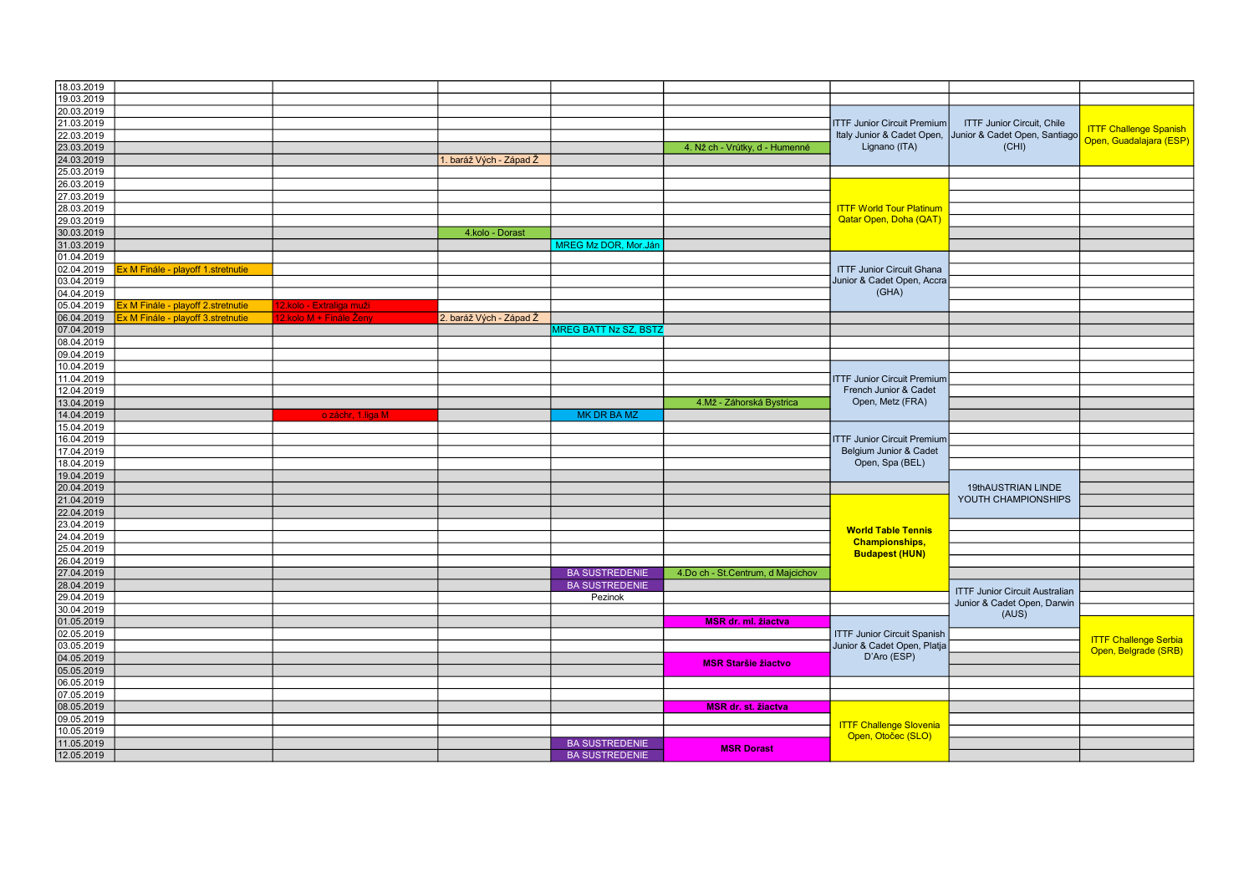| 18.03.2019                                      |                         |                         |                              |                                   |                                           |                                       |                                   |
|-------------------------------------------------|-------------------------|-------------------------|------------------------------|-----------------------------------|-------------------------------------------|---------------------------------------|-----------------------------------|
| 19.03.2019                                      |                         |                         |                              |                                   |                                           |                                       |                                   |
| 20.03.2019                                      |                         |                         |                              |                                   | <b>ITTF Junior Circuit Premium</b>        |                                       |                                   |
| 21.03.2019                                      |                         |                         |                              |                                   |                                           |                                       | <b>ITTF Junior Circuit. Chile</b> |
| 22.03.2019                                      |                         |                         |                              |                                   | Italy Junior & Cadet Open,                | Junior & Cadet Open, Santiago         | Open, Guadalajara (ESP)           |
| 23.03.2019                                      |                         |                         |                              | 4. Nž ch - Vrútky, d - Humenné    | Lignano (ITA)                             | (CHI)                                 |                                   |
| 24.03.2019                                      |                         | 1. baráž Vých - Západ Ž |                              |                                   |                                           |                                       |                                   |
| 25.03.2019                                      |                         |                         |                              |                                   |                                           |                                       |                                   |
| 26.03.2019                                      |                         |                         |                              |                                   |                                           |                                       |                                   |
| 27.03.2019                                      |                         |                         |                              |                                   |                                           |                                       |                                   |
| 28.03.2019                                      |                         |                         |                              |                                   | <b>ITTF World Tour Platinum</b>           |                                       |                                   |
| 29.03.2019                                      |                         |                         |                              |                                   | <b>Qatar Open, Doha (QAT)</b>             |                                       |                                   |
| 30.03.2019                                      |                         | 4.kolo - Dorast         |                              |                                   |                                           |                                       |                                   |
| 31.03.2019                                      |                         |                         | MREG Mz DOR, Mor.Jár         |                                   |                                           |                                       |                                   |
| 01.04.2019                                      |                         |                         |                              |                                   |                                           |                                       |                                   |
| 02.04.2019<br>x M Finále - playoff 1.stretnutie |                         |                         |                              |                                   | <b>ITTF Junior Circuit Ghana</b>          |                                       |                                   |
| 03.04.2019                                      |                         |                         |                              |                                   | Junior & Cadet Open, Accra                |                                       |                                   |
| 04.04.2019                                      |                         |                         |                              |                                   | (GHA)                                     |                                       |                                   |
|                                                 |                         |                         |                              |                                   |                                           |                                       |                                   |
| 05.04.2019<br>x M Finále - playoff 2.stretnutie | 2.kolo - Extraliga muži |                         |                              |                                   |                                           |                                       |                                   |
| 06.04.2019<br>x M Finále - playoff 3.stretnutie | 2.kolo M + Finále Ženy  | 2. baráž Vých - Západ Ž |                              |                                   |                                           |                                       |                                   |
| 07.04.2019                                      |                         |                         | <b>MREG BATT Nz SZ, BSTZ</b> |                                   |                                           |                                       |                                   |
| 08.04.2019                                      |                         |                         |                              |                                   |                                           |                                       |                                   |
| 09.04.2019                                      |                         |                         |                              |                                   |                                           |                                       |                                   |
| 10.04.2019                                      |                         |                         |                              |                                   |                                           |                                       |                                   |
| 11.04.2019                                      |                         |                         |                              |                                   | <b>ITTF Junior Circuit Premium</b>        |                                       |                                   |
| 12.04.2019                                      |                         |                         |                              |                                   | French Junior & Cadet<br>Open, Metz (FRA) |                                       |                                   |
| 13.04.2019                                      |                         |                         |                              | 4.Mž - Záhorská Bystrica          |                                           |                                       |                                   |
| 14.04.2019                                      | o záchr, 1.liga M.      |                         | <b>MK DR BA MZ</b>           |                                   |                                           |                                       |                                   |
| 15.04.2019                                      |                         |                         |                              |                                   |                                           |                                       |                                   |
| 16.04.2019                                      |                         |                         |                              |                                   | <b>ITTF Junior Circuit Premium</b>        |                                       |                                   |
| 17.04.2019                                      |                         |                         |                              |                                   | Belgium Junior & Cadet                    |                                       |                                   |
| 18.04.2019                                      |                         |                         |                              |                                   | Open, Spa (BEL)                           |                                       |                                   |
| 19.04.2019                                      |                         |                         |                              |                                   |                                           |                                       |                                   |
| 20.04.2019                                      |                         |                         |                              |                                   |                                           | 19thAUSTRIAN LINDE                    |                                   |
| 21.04.2019                                      |                         |                         |                              |                                   |                                           | YOUTH CHAMPIONSHIPS                   |                                   |
| 22.04.2019                                      |                         |                         |                              |                                   |                                           |                                       |                                   |
| 23.04.2019                                      |                         |                         |                              |                                   |                                           |                                       |                                   |
| 24.04.2019                                      |                         |                         |                              |                                   | <b>World Table Tennis</b>                 |                                       |                                   |
| 25.04.2019                                      |                         |                         |                              |                                   | <b>Championships,</b>                     |                                       |                                   |
|                                                 |                         |                         |                              |                                   | <b>Budapest (HUN)</b>                     |                                       |                                   |
| 26.04.2019                                      |                         |                         |                              |                                   |                                           |                                       |                                   |
| 27.04.2019                                      |                         |                         | <b>BA SUSTREDENIE</b>        | 4.Do ch - St.Centrum, d Majcichov |                                           |                                       |                                   |
| 28.04.2019                                      |                         |                         | <b>BA SUSTREDENIE</b>        |                                   |                                           | <b>ITTF Junior Circuit Australian</b> |                                   |
| 29.04.2019                                      |                         |                         | Pezinok                      |                                   |                                           | Junior & Cadet Open, Darwin           |                                   |
| 30.04.2019                                      |                         |                         |                              |                                   |                                           | (AUS)                                 |                                   |
| 01.05.2019                                      |                         |                         |                              | MSR dr. ml. žiactva               |                                           |                                       |                                   |
| 02.05.2019                                      |                         |                         |                              |                                   | <b>ITTF Junior Circuit Spanish</b>        |                                       | <b>ITTF Challenge Serbia</b>      |
| 03.05.2019                                      |                         |                         |                              |                                   | Junior & Cadet Open, Platja               |                                       | Open, Belgrade (SRB)              |
| 04.05.2019                                      |                         |                         |                              | <b>MSR Staršie žiactvo</b>        | D'Aro (ESP)                               |                                       |                                   |
| 05.05.2019                                      |                         |                         |                              |                                   |                                           |                                       |                                   |
| 06.05.2019                                      |                         |                         |                              |                                   |                                           |                                       |                                   |
| 07.05.2019                                      |                         |                         |                              |                                   |                                           |                                       |                                   |
| 08.05.2019                                      |                         |                         |                              | <b>MSR dr. st. žiactva</b>        |                                           |                                       |                                   |
| 09.05.2019                                      |                         |                         |                              |                                   |                                           |                                       |                                   |
| 10.05.2019                                      |                         |                         |                              |                                   | <b>ITTF Challenge Slovenia</b>            |                                       |                                   |
| 11.05.2019                                      |                         |                         | <b>BA SUSTREDENIE</b>        |                                   | Open, Otočec (SLO)                        |                                       |                                   |
| 12.05.2019                                      |                         |                         | <b>BA SUSTREDENIE</b>        | <b>MSR Dorast</b>                 |                                           |                                       |                                   |
|                                                 |                         |                         |                              |                                   |                                           |                                       |                                   |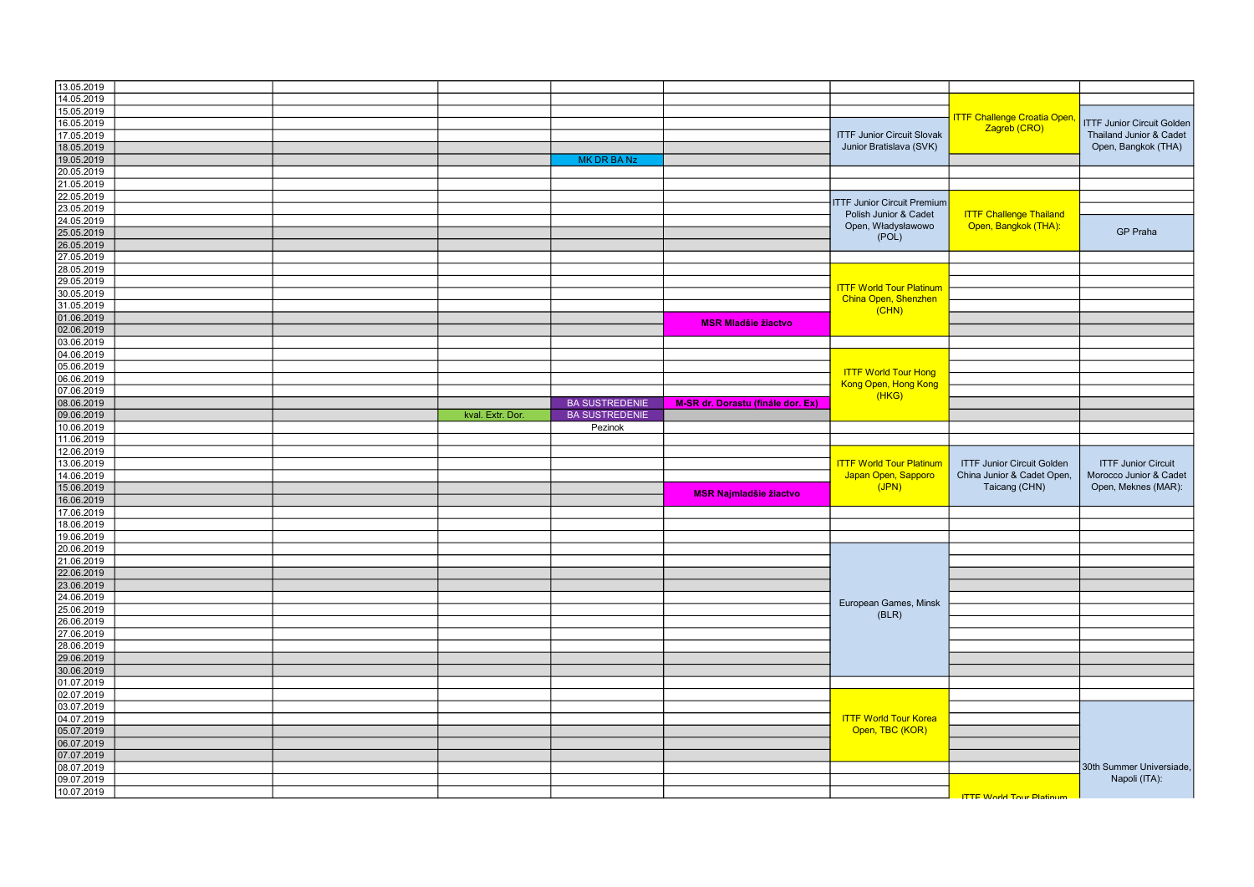| 13.05.2019 |                  |                       |                                   |                                    |                                                              |                                   |
|------------|------------------|-----------------------|-----------------------------------|------------------------------------|--------------------------------------------------------------|-----------------------------------|
| 14.05.2019 |                  |                       |                                   |                                    |                                                              |                                   |
| 15.05.2019 |                  |                       |                                   |                                    |                                                              |                                   |
| 16.05.2019 |                  |                       |                                   | Zagreb (CRO)                       | <b>ITTF Challenge Croatia Open,</b>                          | <b>ITTF Junior Circuit Golden</b> |
|            |                  |                       |                                   |                                    |                                                              |                                   |
| 17.05.2019 |                  |                       |                                   |                                    | <b>ITTF Junior Circuit Slovak</b><br>Junior Bratislava (SVK) | Thailand Junior & Cadet           |
| 18.05.2019 |                  |                       |                                   |                                    |                                                              | Open, Bangkok (THA)               |
| 19.05.2019 |                  | <b>MK DR BA Nz</b>    |                                   |                                    |                                                              |                                   |
| 20.05.2019 |                  |                       |                                   |                                    |                                                              |                                   |
|            |                  |                       |                                   |                                    |                                                              |                                   |
| 21.05.2019 |                  |                       |                                   |                                    |                                                              |                                   |
| 22.05.2019 |                  |                       |                                   |                                    |                                                              |                                   |
| 23.05.2019 |                  |                       |                                   | <b>ITTF Junior Circuit Premium</b> |                                                              |                                   |
| 24.05.2019 |                  |                       |                                   | Polish Junior & Cadet              | <b>ITTF Challenge Thailand</b>                               |                                   |
|            |                  |                       |                                   | Open, Władysławowo                 | Open, Bangkok (THA):                                         |                                   |
| 25.05.2019 |                  |                       |                                   | (POL)                              |                                                              | <b>GP Praha</b>                   |
| 26.05.2019 |                  |                       |                                   |                                    |                                                              |                                   |
| 27.05.2019 |                  |                       |                                   |                                    |                                                              |                                   |
| 28.05.2019 |                  |                       |                                   |                                    |                                                              |                                   |
|            |                  |                       |                                   |                                    |                                                              |                                   |
| 29.05.2019 |                  |                       |                                   | <b>ITTF World Tour Platinum</b>    |                                                              |                                   |
| 30.05.2019 |                  |                       |                                   |                                    |                                                              |                                   |
| 31.05.2019 |                  |                       |                                   | China Open, Shenzhen               |                                                              |                                   |
| 01.06.2019 |                  |                       |                                   | (CHN)                              |                                                              |                                   |
|            |                  |                       | <b>MSR Mladšie žiactvo</b>        |                                    |                                                              |                                   |
| 02.06.2019 |                  |                       |                                   |                                    |                                                              |                                   |
| 03.06.2019 |                  |                       |                                   |                                    |                                                              |                                   |
| 04.06.2019 |                  |                       |                                   |                                    |                                                              |                                   |
| 05.06.2019 |                  |                       |                                   |                                    |                                                              |                                   |
|            |                  |                       |                                   | <b>ITTF World Tour Hong</b>        |                                                              |                                   |
| 06.06.2019 |                  |                       |                                   | Kong Open, Hong Kong               |                                                              |                                   |
| 07.06.2019 |                  |                       |                                   | (HKG)                              |                                                              |                                   |
| 08.06.2019 |                  | <b>BA SUSTREDENIE</b> | M-SR dr. Dorastu (finále dor. Ex) |                                    |                                                              |                                   |
|            |                  |                       |                                   |                                    |                                                              |                                   |
| 09.06.2019 | kval. Extr. Dor. | <b>BA SUSTREDENIE</b> |                                   |                                    |                                                              |                                   |
| 10.06.2019 |                  | Pezinok               |                                   |                                    |                                                              |                                   |
|            |                  |                       |                                   |                                    |                                                              |                                   |
|            |                  |                       |                                   |                                    |                                                              |                                   |
| 11.06.2019 |                  |                       |                                   |                                    |                                                              |                                   |
| 12.06.2019 |                  |                       |                                   |                                    |                                                              |                                   |
| 13.06.2019 |                  |                       |                                   | <b>ITTF World Tour Platinum</b>    | <b>ITTF Junior Circuit Golden</b>                            | <b>ITTF Junior Circuit</b>        |
| 14.06.2019 |                  |                       |                                   | Japan Open, Sapporo                | China Junior & Cadet Open,                                   | Morocco Junior & Cadet            |
|            |                  |                       |                                   | (JPN)                              | Taicang (CHN)                                                | Open, Meknes (MAR):               |
| 15.06.2019 |                  |                       | <b>MSR Najmladšie žiactvo</b>     |                                    |                                                              |                                   |
| 16.06.2019 |                  |                       |                                   |                                    |                                                              |                                   |
| 17.06.2019 |                  |                       |                                   |                                    |                                                              |                                   |
| 18.06.2019 |                  |                       |                                   |                                    |                                                              |                                   |
| 19.06.2019 |                  |                       |                                   |                                    |                                                              |                                   |
|            |                  |                       |                                   |                                    |                                                              |                                   |
| 20.06.2019 |                  |                       |                                   |                                    |                                                              |                                   |
| 21.06.2019 |                  |                       |                                   |                                    |                                                              |                                   |
| 22.06.2019 |                  |                       |                                   |                                    |                                                              |                                   |
| 23.06.2019 |                  |                       |                                   |                                    |                                                              |                                   |
|            |                  |                       |                                   |                                    |                                                              |                                   |
| 24.06.2019 |                  |                       |                                   | European Games, Minsk              |                                                              |                                   |
| 25.06.2019 |                  |                       |                                   | (BLR)                              |                                                              |                                   |
| 26.06.2019 |                  |                       |                                   |                                    |                                                              |                                   |
| 27.06.2019 |                  |                       |                                   |                                    |                                                              |                                   |
|            |                  |                       |                                   |                                    |                                                              |                                   |
| 28.06.2019 |                  |                       |                                   |                                    |                                                              |                                   |
| 29.06.2019 |                  |                       |                                   |                                    |                                                              |                                   |
| 30.06.2019 |                  |                       |                                   |                                    |                                                              |                                   |
| 01.07.2019 |                  |                       |                                   |                                    |                                                              |                                   |
|            |                  |                       |                                   |                                    |                                                              |                                   |
| 02.07.2019 |                  |                       |                                   |                                    |                                                              |                                   |
| 03.07.2019 |                  |                       |                                   |                                    |                                                              |                                   |
| 04.07.2019 |                  |                       |                                   | <b>ITTF World Tour Korea</b>       |                                                              |                                   |
| 05.07.2019 |                  |                       |                                   | Open, TBC (KOR)                    |                                                              |                                   |
|            |                  |                       |                                   |                                    |                                                              |                                   |
| 06.07.2019 |                  |                       |                                   |                                    |                                                              |                                   |
| 07.07.2019 |                  |                       |                                   |                                    |                                                              |                                   |
| 08.07.2019 |                  |                       |                                   |                                    |                                                              | 30th Summer Universiade,          |
| 09.07.2019 |                  |                       |                                   |                                    |                                                              | Napoli (ITA):                     |
| 10.07.2019 |                  |                       |                                   |                                    | <b>ITTE Morld Tour Platinum</b>                              |                                   |